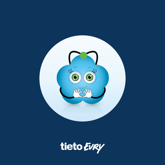

tieto Evry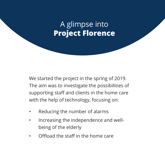### A glimpse into **Project Florence**

We started the project in the spring of 2019. The aim was to investigate the possibilities of supporting staff and clients in the home care with the help of technology, focusing on:

- Reducing the number of alarms
- Increasing the independence and wellbeing of the elderly
- Offload the staff in the home care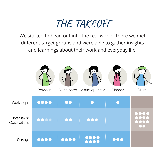## THE TAKEOFF

We started to head out into the real world. There we met different target groups and were able to gather insights and learnings about their work and everyday life.

|                             | Provider                       |                  | ſЭ<br>Alarm patrol Alarm operator      | Planner | <br>Client |
|-----------------------------|--------------------------------|------------------|----------------------------------------|---------|------------|
| Workshops                   | $\bullet\bullet\bullet\bullet$ | $\bullet\bullet$ |                                        |         |            |
| Interviews/<br>Observations | $\bullet\bullet\bullet\bullet$ | OK 1             |                                        |         |            |
| Surveys                     | ( ) ( )                        |                  | ,,,,<br>$\bullet\bullet\bullet\bullet$ | 0 O Q   |            |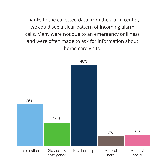Thanks to the collected data from the alarm center, we could see a clear pattern of incoming alarm calls. Many were not due to an emergency or illness and were often made to ask for information about home care visits.

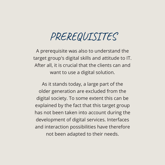## PREREQUISITES

A prerequisite was also to understand the target group's digital skills and attitude to IT. After all, it is crucial that the clients can and want to use a digital solution.

As it stands today, a large part of the older generation are excluded from the digital society. To some extent this can be explained by the fact that this target group has not been taken into account during the development of digital services. Interfaces and interaction possibilities have therefore not been adapted to their needs.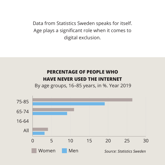Data from Statistics Sweden speaks for itself. Age plays a significant role when it comes to digital exclusion.

#### **PERCENTAGE OF PEOPLE WHO HAVE NEVER USED THE INTERNET**

By age groups, 16–85 years, in %. Year 2019

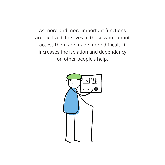As more and more important functions are digitized, the lives of those who cannot access them are made more difficult. It increases the isolation and dependency on other people's help.

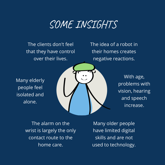### SOME INSIGHTS

The clients don't feel that they have control over their lives.

The idea of a robot in their homes creates negative reactions.

Many elderly people feel isolated and alone.



With age, problems with vision, hearing and speech increase.

The alarm on the wrist is largely the only contact route to the home care.

Many older people have limited digital skills and are not used to technology.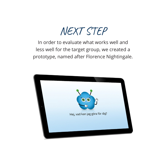

In order to evaluate what works well and less well for the target group, we created a prototype, named after Florence Nightingale.

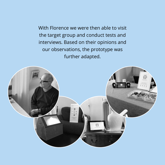With Florence we were then able to visit the target group and conduct tests and interviews. Based on their opinions and our observations, the prototype was further adapted.

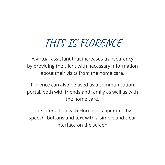# THIS IS FLORENCE

A virtual assistant that increases transparency by providing the client with necessary information about their visits from the home care.

Florence can also be used as a communication portal, both with friends and family as well as with the home care.

The interaction with Florence is operated by speech, buttons and text with a simple and clear interface on the screen.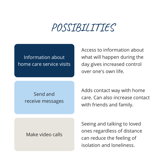### POSSIBILITIES

Information about home care service visits Access to information about what will happen during the day gives increased control over one's own life.

Send and receive messages Adds contact way with home care. Can also increase contact with friends and family.

Make video calls

Seeing and talking to loved ones regardless of distance can reduce the feeling of isolation and loneliness.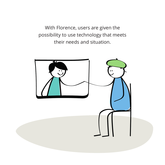With Florence, users are given the possibility to use technology that meets their needs and situation.

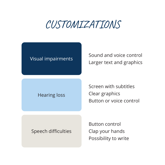## CUSTOMIZATIONS

#### Visual impairments

Sound and voice control Larger text and graphics

#### Hearing loss

Screen with subtitles Clear graphics Button or voice control

#### Speech difficulties

Button control Clap your hands Possibility to write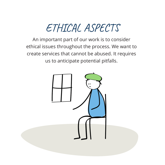# ETHICAL ASPECTS

An important part of our work is to consider ethical issues throughout the process. We want to create services that cannot be abused. It requires us to anticipate potential pitfalls.

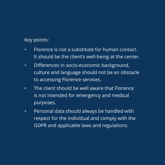#### Key points:

- Florence is not a substitute for human contact. It should be the client's well-being at the center.
- Differences in socio-economic background, culture and language should not be an obstacle to accessing Florence services.
- The client should be well aware that Florence is not intended for emergency and medical purposes.
- Personal data should always be handled with respect for the individual and comply with the GDPR and applicable laws and regulations.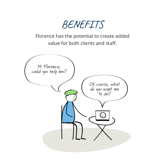BENEFITS

Florence has the potential to create added value for both clients and staff.

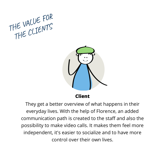



**Client**

They get a better overview of what happens in their everyday lives. With the help of Florence, an added communication path is created to the staff and also the possibility to make video calls. It makes them feel more independent, it's easier to socialize and to have more control over their own lives.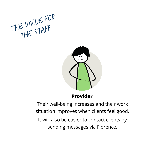



**Provider**

Their well-being increases and their work situation improves when clients feel good. It will also be easier to contact clients by sending messages via Florence.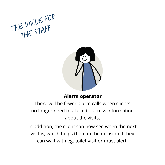



#### **Alarm operator**

There will be fewer alarm calls when clients no longer need to alarm to access information about the visits.

In addition, the client can now see when the next visit is, which helps them in the decision if they can wait with eg. toilet visit or must alert.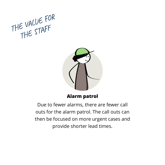



**Alarm patrol**

Due to fewer alarms, there are fewer call outs for the alarm patrol. The call outs can then be focused on more urgent cases and provide shorter lead times.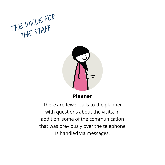



**Planner**

There are fewer calls to the planner with questions about the visits. In addition, some of the communication that was previously over the telephone is handled via messages.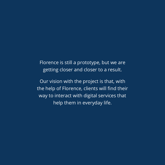Florence is still a prototype, but we are getting closer and closer to a result.

Our vision with the project is that, with the help of Florence, clients will find their way to interact with digital services that help them in everyday life.